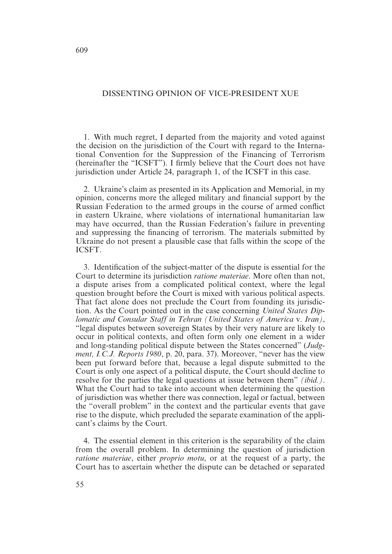## DISSENTING OPINION OF VICE-PRESIDENT XUE

1. With much regret, I departed from the majority and voted against the decision on the jurisdiction of the Court with regard to the International Convention for the Suppression of the Financing of Terrorism (hereinafter the "ICSFT"). I firmly believe that the Court does not have jurisdiction under Article 24, paragraph 1, of the ICSFT in this case.

2. Ukraine's claim as presented in its Application and Memorial, in my opinion, concerns more the alleged military and financial support by the Russian Federation to the armed groups in the course of armed conflict in eastern Ukraine, where violations of international humanitarian law may have occurred, than the Russian Federation's failure in preventing and suppressing the financing of terrorism. The materials submitted by Ukraine do not present a plausible case that falls within the scope of the ICSFT.

3. Identification of the subject-matter of the dispute is essential for the Court to determine its jurisdiction *ratione materiae*. More often than not, a dispute arises from a complicated political context, where the legal question brought before the Court is mixed with various political aspects. That fact alone does not preclude the Court from founding its jurisdiction. As the Court pointed out in the case concerning *United States Diplomatic and Consular Staff in Tehran (United States of America* v. *Iran)*, "legal disputes between sovereign States by their very nature are likely to occur in political contexts, and often form only one element in a wider and long- standing political dispute between the States concerned" (*Judgment, I.C.J. Reports 1980*, p. 20, para. 37). Moreover, "never has the view been put forward before that, because a legal dispute submitted to the Court is only one aspect of a political dispute, the Court should decline to resolve for the parties the legal questions at issue between them" *(ibid.)*. What the Court had to take into account when determining the question of jurisdiction was whether there was connection, legal or factual, between the "overall problem" in the context and the particular events that gave rise to the dispute, which precluded the separate examination of the applicant's claims by the Court.

4. The essential element in this criterion is the separability of the claim from the overall problem. In determining the question of jurisdiction *ratione materiae*, either *proprio motu*, or at the request of a party, the Court has to ascertain whether the dispute can be detached or separated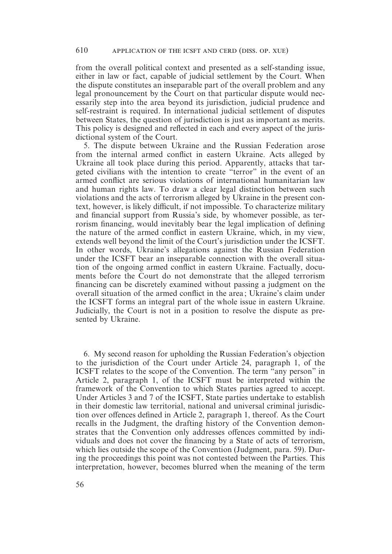from the overall political context and presented as a self-standing issue, either in law or fact, capable of judicial settlement by the Court. When the dispute constitutes an inseparable part of the overall problem and any legal pronouncement by the Court on that particular dispute would necessarily step into the area beyond its jurisdiction, judicial prudence and self-restraint is required. In international judicial settlement of disputes between States, the question of jurisdiction is just as important as merits. This policy is designed and reflected in each and every aspect of the jurisdictional system of the Court.

5. The dispute between Ukraine and the Russian Federation arose from the internal armed conflict in eastern Ukraine. Acts alleged by Ukraine all took place during this period. Apparently, attacks that targeted civilians with the intention to create "terror" in the event of an armed conflict are serious violations of international humanitarian law and human rights law. To draw a clear legal distinction between such violations and the acts of terrorism alleged by Ukraine in the present context, however, is likely difficult, if not impossible. To characterize military and financial support from Russia's side, by whomever possible, as terrorism financing, would inevitably bear the legal implication of defining the nature of the armed conflict in eastern Ukraine, which, in my view, extends well beyond the limit of the Court's jurisdiction under the ICSFT. In other words, Ukraine's allegations against the Russian Federation under the ICSFT bear an inseparable connection with the overall situation of the ongoing armed conflict in eastern Ukraine. Factually, documents before the Court do not demonstrate that the alleged terrorism financing can be discretely examined without passing a judgment on the overall situation of the armed conflict in the area ; Ukraine's claim under the ICSFT forms an integral part of the whole issue in eastern Ukraine. Judicially, the Court is not in a position to resolve the dispute as presented by Ukraine.

6. My second reason for upholding the Russian Federation's objection to the jurisdiction of the Court under Article 24, paragraph 1, of the ICSFT relates to the scope of the Convention. The term "any person" in Article 2, paragraph 1, of the ICSFT must be interpreted within the framework of the Convention to which States parties agreed to accept. Under Articles 3 and 7 of the ICSFT, State parties undertake to establish in their domestic law territorial, national and universal criminal jurisdiction over offences defined in Article 2, paragraph 1, thereof. As the Court recalls in the Judgment, the drafting history of the Convention demonstrates that the Convention only addresses offences committed by individuals and does not cover the financing by a State of acts of terrorism, which lies outside the scope of the Convention (Judgment, para. 59). During the proceedings this point was not contested between the Parties. This interpretation, however, becomes blurred when the meaning of the term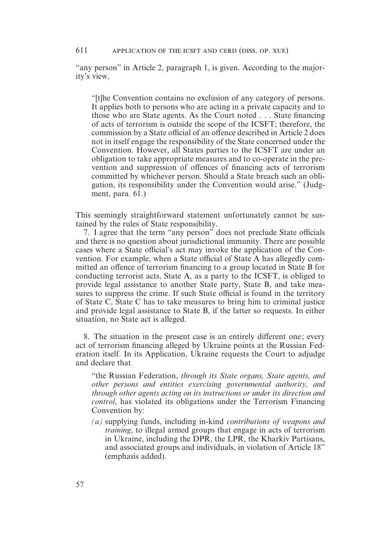611 application of the icsft and cerd (diss. op. xue)

"any person" in Article 2, paragraph 1, is given. According to the majority's view,

"[t]he Convention contains no exclusion of any category of persons. It applies both to persons who are acting in a private capacity and to those who are State agents. As the Court noted . . . State financing of acts of terrorism is outside the scope of the ICSFT; therefore, the commission by a State official of an offence described in Article 2 does not in itself engage the responsibility of the State concerned under the Convention. However, all States parties to the ICSFT are under an obligation to take appropriate measures and to co- operate in the prevention and suppression of offences of financing acts of terrorism committed by whichever person. Should a State breach such an obligation, its responsibility under the Convention would arise." (Judgment, para. 61.)

This seemingly straightforward statement unfortunately cannot be sustained by the rules of State responsibility.

7. I agree that the term "any person" does not preclude State officials and there is no question about jurisdictional immunity. There are possible cases where a State official's act may invoke the application of the Convention. For example, when a State official of State A has allegedly committed an offence of terrorism financing to a group located in State B for conducting terrorist acts, State A, as a party to the ICSFT, is obliged to provide legal assistance to another State party, State B, and take measures to suppress the crime. If such State official is found in the territory of State C, State C has to take measures to bring him to criminal justice and provide legal assistance to State B, if the latter so requests. In either situation, no State act is alleged.

8. The situation in the present case is an entirely different one ; every act of terrorism financing alleged by Ukraine points at the Russian Federation itself. In its Application, Ukraine requests the Court to adjudge and declare that

"the Russian Federation, *through its State organs, State agents, and other persons and entities exercising governmental authority, and through other agents acting on its instructions or under its direction and control*, has violated its obligations under the Terrorism Financing Convention by:

*(a)* supplying funds, including in-kind *contributions of weapons and training*, to illegal armed groups that engage in acts of terrorism in Ukraine, including the DPR, the LPR, the Kharkiv Partisans, and associated groups and individuals, in violation of Article 18" (emphasis added).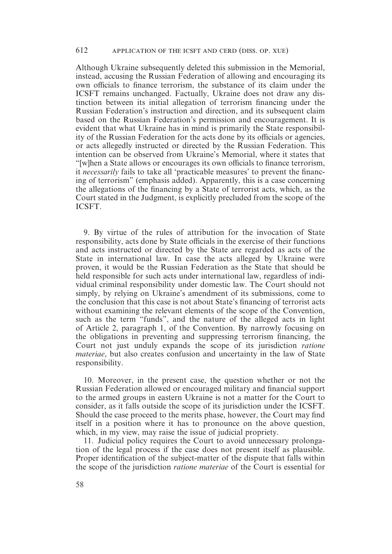Although Ukraine subsequently deleted this submission in the Memorial, instead, accusing the Russian Federation of allowing and encouraging its own officials to finance terrorism, the substance of its claim under the ICSFT remains unchanged. Factually, Ukraine does not draw any distinction between its initial allegation of terrorism financing under the Russian Federation's instruction and direction, and its subsequent claim based on the Russian Federation's permission and encouragement. It is evident that what Ukraine has in mind is primarily the State responsibility of the Russian Federation for the acts done by its officials or agencies, or acts allegedly instructed or directed by the Russian Federation. This intention can be observed from Ukraine's Memorial, where it states that "[w]hen a State allows or encourages its own officials to finance terrorism, it *necessarily* fails to take all 'practicable measures' to prevent the financing of terrorism" (emphasis added). Apparently, this is a case concerning the allegations of the financing by a State of terrorist acts, which, as the Court stated in the Judgment, is explicitly precluded from the scope of the ICSFT.

9. By virtue of the rules of attribution for the invocation of State responsibility, acts done by State officials in the exercise of their functions and acts instructed or directed by the State are regarded as acts of the State in international law. In case the acts alleged by Ukraine were proven, it would be the Russian Federation as the State that should be held responsible for such acts under international law, regardless of individual criminal responsibility under domestic law. The Court should not simply, by relying on Ukraine's amendment of its submissions, come to the conclusion that this case is not about State's financing of terrorist acts without examining the relevant elements of the scope of the Convention, such as the term "funds", and the nature of the alleged acts in light of Article 2, paragraph 1, of the Convention. By narrowly focusing on the obligations in preventing and suppressing terrorism financing, the Court not just unduly expands the scope of its jurisdiction *ratione materiae*, but also creates confusion and uncertainty in the law of State responsibility.

10. Moreover, in the present case, the question whether or not the Russian Federation allowed or encouraged military and financial support to the armed groups in eastern Ukraine is not a matter for the Court to consider, as it falls outside the scope of its jurisdiction under the ICSFT. Should the case proceed to the merits phase, however, the Court may find itself in a position where it has to pronounce on the above question, which, in my view, may raise the issue of judicial propriety.

11. Judicial policy requires the Court to avoid unnecessary prolongation of the legal process if the case does not present itself as plausible. Proper identification of the subject-matter of the dispute that falls within the scope of the jurisdiction *ratione materiae* of the Court is essential for

58